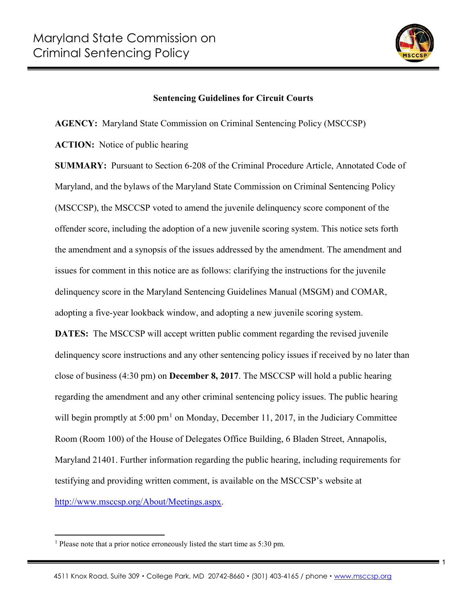

1

## **Sentencing Guidelines for Circuit Courts**

**AGENCY:** Maryland State Commission on Criminal Sentencing Policy (MSCCSP)

**ACTION:** Notice of public hearing

**SUMMARY:** Pursuant to Section 6-208 of the Criminal Procedure Article, Annotated Code of Maryland, and the bylaws of the Maryland State Commission on Criminal Sentencing Policy (MSCCSP), the MSCCSP voted to amend the juvenile delinquency score component of the offender score, including the adoption of a new juvenile scoring system. This notice sets forth the amendment and a synopsis of the issues addressed by the amendment. The amendment and issues for comment in this notice are as follows: clarifying the instructions for the juvenile delinquency score in the Maryland Sentencing Guidelines Manual (MSGM) and COMAR, adopting a five-year lookback window, and adopting a new juvenile scoring system.

**DATES:** The MSCCSP will accept written public comment regarding the revised juvenile delinquency score instructions and any other sentencing policy issues if received by no later than close of business (4:30 pm) on **December 8, 2017**. The MSCCSP will hold a public hearing regarding the amendment and any other criminal sentencing policy issues. The public hearing will begin promptly at 5:00  $pm<sup>1</sup>$  $pm<sup>1</sup>$  $pm<sup>1</sup>$  on Monday, December 11, 2017, in the Judiciary Committee Room (Room 100) of the House of Delegates Office Building, 6 Bladen Street, Annapolis, Maryland 21401. Further information regarding the public hearing, including requirements for testifying and providing written comment, is available on the MSCCSP's website at [http://www.msccsp.org/About/Meetings.aspx.](http://www.msccsp.org/About/Meetings.aspx)

<span id="page-0-0"></span><sup>&</sup>lt;sup>1</sup> Please note that a prior notice erroneously listed the start time as 5:30 pm.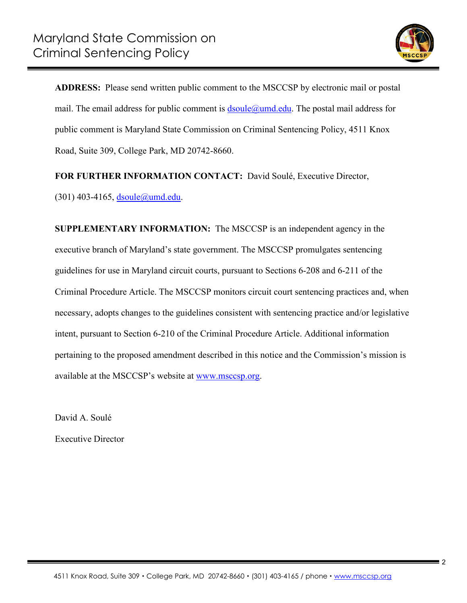

**ADDRESS:** Please send written public comment to the MSCCSP by electronic mail or postal mail. The email address for public comment is  $d\text{scale}(\hat{a})$ umd.edu. The postal mail address for public comment is Maryland State Commission on Criminal Sentencing Policy, 4511 Knox Road, Suite 309, College Park, MD 20742-8660.

**FOR FURTHER INFORMATION CONTACT:** David Soulé, Executive Director,

(301) 403-4165, dsoule@umd.edu.

**SUPPLEMENTARY INFORMATION:** The MSCCSP is an independent agency in the executive branch of Maryland's state government. The MSCCSP promulgates sentencing guidelines for use in Maryland circuit courts, pursuant to Sections 6-208 and 6-211 of the Criminal Procedure Article. The MSCCSP monitors circuit court sentencing practices and, when necessary, adopts changes to the guidelines consistent with sentencing practice and/or legislative intent, pursuant to Section 6-210 of the Criminal Procedure Article. Additional information pertaining to the proposed amendment described in this notice and the Commission's mission is available at the MSCCSP's website at www.msccsp.org.

David A. Soulé

Executive Director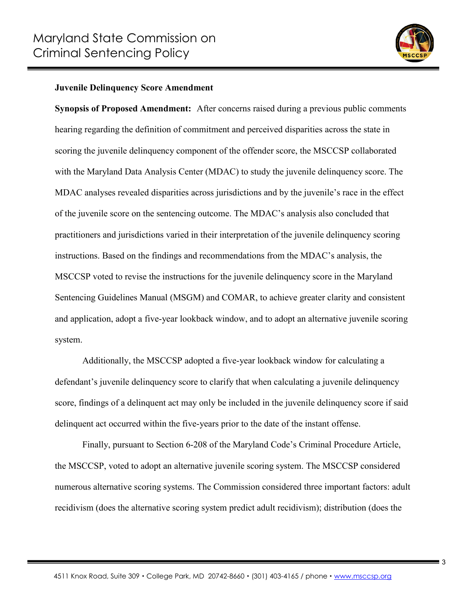

## **Juvenile Delinquency Score Amendment**

**Synopsis of Proposed Amendment:** After concerns raised during a previous public comments hearing regarding the definition of commitment and perceived disparities across the state in scoring the juvenile delinquency component of the offender score, the MSCCSP collaborated with the Maryland Data Analysis Center (MDAC) to study the juvenile delinquency score. The MDAC analyses revealed disparities across jurisdictions and by the juvenile's race in the effect of the juvenile score on the sentencing outcome. The MDAC's analysis also concluded that practitioners and jurisdictions varied in their interpretation of the juvenile delinquency scoring instructions. Based on the findings and recommendations from the MDAC's analysis, the MSCCSP voted to revise the instructions for the juvenile delinquency score in the Maryland Sentencing Guidelines Manual (MSGM) and COMAR, to achieve greater clarity and consistent and application, adopt a five-year lookback window, and to adopt an alternative juvenile scoring system.

Additionally, the MSCCSP adopted a five-year lookback window for calculating a defendant's juvenile delinquency score to clarify that when calculating a juvenile delinquency score, findings of a delinquent act may only be included in the juvenile delinquency score if said delinquent act occurred within the five-years prior to the date of the instant offense.

Finally, pursuant to Section 6-208 of the Maryland Code's Criminal Procedure Article, the MSCCSP, voted to adopt an alternative juvenile scoring system. The MSCCSP considered numerous alternative scoring systems. The Commission considered three important factors: adult recidivism (does the alternative scoring system predict adult recidivism); distribution (does the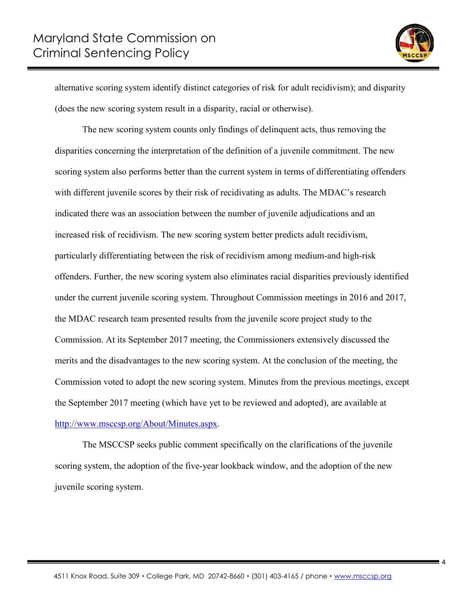

alternative scoring system identify distinct categories of risk for adult recidivism); and disparity (does the new scoring system result in a disparity, racial or otherwise).

The new scoring system counts only findings of delinquent acts, thus removing the disparities concerning the interpretation of the definition of a juvenile commitment. The new scoring system also performs better than the current system in terms of differentiating offenders with different juvenile scores by their risk of recidivating as adults. The MDAC's research indicated there was an association between the number of juvenile adjudications and an increased risk of recidivism. The new scoring system better predicts adult recidivism, particularly differentiating between the risk of recidivism among medium-and high-risk offenders. Further, the new scoring system also eliminates racial disparities previously identified under the current juvenile scoring system. Throughout Commission meetings in 2016 and 2017, the MDAC research team presented results from the juvenile score project study to the Commission. At its September 2017 meeting, the Commissioners extensively discussed the merits and the disadvantages to the new scoring system. At the conclusion of the meeting, the Commission voted to adopt the new scoring system. Minutes from the previous meetings, except the September 2017 meeting (which have yet to be reviewed and adopted), are available at [http://www.msccsp.org/About/Minutes.aspx.](http://www.msccsp.org/About/Minutes.aspx)

The MSCCSP seeks public comment specifically on the clarifications of the juvenile scoring system, the adoption of the five-year lookback window, and the adoption of the new juvenile scoring system.